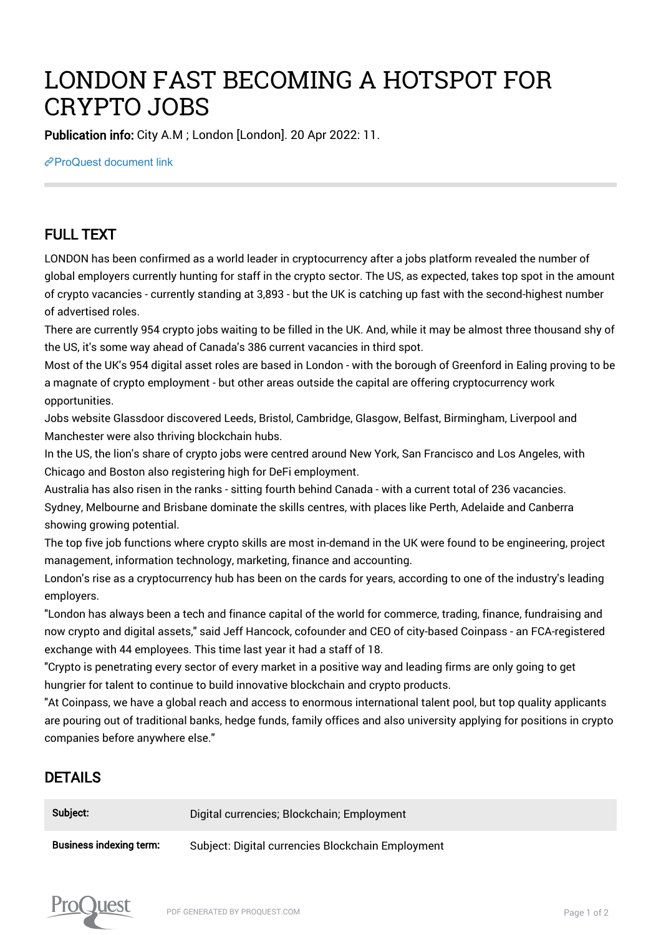## LONDON FAST BECOMING A HOTSPOT FOR CRYPTO JOBS

Publication info: City A.M ; London [London]. 20 Apr 2022: 11.

[ProQuest document link](https://www.proquest.com/newspapers/london-fast-becoming-hotspot-crypto-jobs/docview/2652449205/se-2?accountid=44910)

## FULL TEXT

LONDON has been confirmed as a world leader in cryptocurrency after a jobs platform revealed the number of global employers currently hunting for staff in the crypto sector. The US, as expected, takes top spot in the amount of crypto vacancies - currently standing at 3,893 - but the UK is catching up fast with the second-highest number of advertised roles.

There are currently 954 crypto jobs waiting to be filled in the UK. And, while it may be almost three thousand shy of the US, it's some way ahead of Canada's 386 current vacancies in third spot.

Most of the UK's 954 digital asset roles are based in London - with the borough of Greenford in Ealing proving to be a magnate of crypto employment - but other areas outside the capital are offering cryptocurrency work opportunities.

Jobs website Glassdoor discovered Leeds, Bristol, Cambridge, Glasgow, Belfast, Birmingham, Liverpool and Manchester were also thriving blockchain hubs.

In the US, the lion's share of crypto jobs were centred around New York, San Francisco and Los Angeles, with Chicago and Boston also registering high for DeFi employment.

Australia has also risen in the ranks - sitting fourth behind Canada - with a current total of 236 vacancies. Sydney, Melbourne and Brisbane dominate the skills centres, with places like Perth, Adelaide and Canberra showing growing potential.

The top five job functions where crypto skills are most in-demand in the UK were found to be engineering, project management, information technology, marketing, finance and accounting.

London's rise as a cryptocurrency hub has been on the cards for years, according to one of the industry's leading employers.

"London has always been a tech and finance capital of the world for commerce, trading, finance, fundraising and now crypto and digital assets," said Jeff Hancock, cofounder and CEO of city-based Coinpass - an FCA-registered exchange with 44 employees. This time last year it had a staff of 18.

"Crypto is penetrating every sector of every market in a positive way and leading firms are only going to get hungrier for talent to continue to build innovative blockchain and crypto products.

"At Coinpass, we have a global reach and access to enormous international talent pool, but top quality applicants are pouring out of traditional banks, hedge funds, family offices and also university applying for positions in crypto companies before anywhere else."

## DETAILS

| Subject:                       | Digital currencies; Blockchain; Employment        |
|--------------------------------|---------------------------------------------------|
| <b>Business indexing term:</b> | Subject: Digital currencies Blockchain Employment |